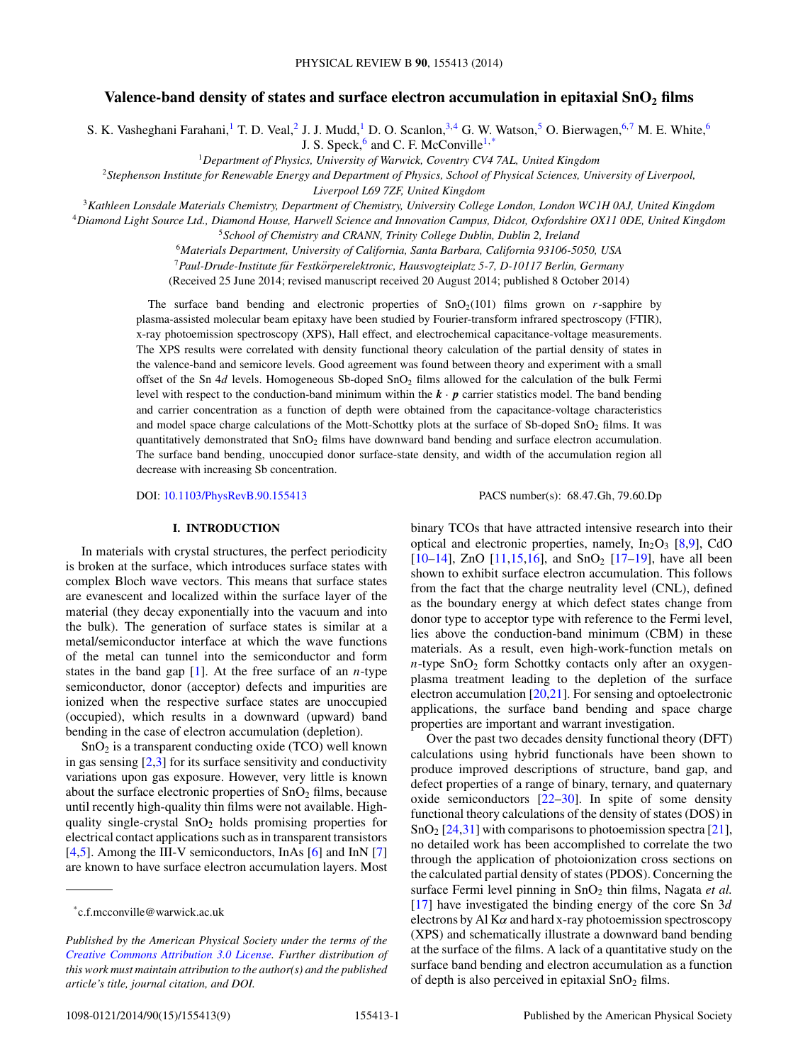# Valence-band density of states and surface electron accumulation in epitaxial SnO<sub>2</sub> films

S. K. Vasheghani Farahani,<sup>1</sup> T. D. Veal,<sup>2</sup> J. J. Mudd,<sup>1</sup> D. O. Scanlon,<sup>3,4</sup> G. W. Watson,<sup>5</sup> O. Bierwagen,<sup>6,7</sup> M. E. White,<sup>6</sup>

J. S. Speck, $^6$  and C. F. McConville<sup>1,\*</sup>

<sup>1</sup>*Department of Physics, University of Warwick, Coventry CV4 7AL, United Kingdom*

<sup>2</sup>*Stephenson Institute for Renewable Energy and Department of Physics, School of Physical Sciences, University of Liverpool,*

*Liverpool L69 7ZF, United Kingdom*

<sup>3</sup>*Kathleen Lonsdale Materials Chemistry, Department of Chemistry, University College London, London WC1H 0AJ, United Kingdom*

<sup>4</sup>*Diamond Light Source Ltd., Diamond House, Harwell Science and Innovation Campus, Didcot, Oxfordshire OX11 0DE, United Kingdom* <sup>5</sup>*School of Chemistry and CRANN, Trinity College Dublin, Dublin 2, Ireland*

<sup>6</sup>*Materials Department, University of California, Santa Barbara, California 93106-5050, USA*

<sup>7</sup>*Paul-Drude-Institute fur Festk ¨ orperelektronic, Hausvogteiplatz 5-7, D-10117 Berlin, Germany ¨*

(Received 25 June 2014; revised manuscript received 20 August 2014; published 8 October 2014)

The surface band bending and electronic properties of  $SnO<sub>2</sub>(101)$  films grown on *r*-sapphire by plasma-assisted molecular beam epitaxy have been studied by Fourier-transform infrared spectroscopy (FTIR), x-ray photoemission spectroscopy (XPS), Hall effect, and electrochemical capacitance-voltage measurements. The XPS results were correlated with density functional theory calculation of the partial density of states in the valence-band and semicore levels. Good agreement was found between theory and experiment with a small offset of the Sn 4*d* levels. Homogeneous Sb-doped SnO<sub>2</sub> films allowed for the calculation of the bulk Fermi level with respect to the conduction-band minimum within the  $\mathbf{k} \cdot \mathbf{p}$  carrier statistics model. The band bending and carrier concentration as a function of depth were obtained from the capacitance-voltage characteristics and model space charge calculations of the Mott-Schottky plots at the surface of Sb-doped  $SnO<sub>2</sub>$  films. It was quantitatively demonstrated that  $SnO<sub>2</sub>$  films have downward band bending and surface electron accumulation. The surface band bending, unoccupied donor surface-state density, and width of the accumulation region all decrease with increasing Sb concentration.

DOI: [10.1103/PhysRevB.90.155413](http://dx.doi.org/10.1103/PhysRevB.90.155413) PACS number(s): 68*.*47*.*Gh*,* 79*.*60*.*Dp

#### **I. INTRODUCTION**

In materials with crystal structures, the perfect periodicity is broken at the surface, which introduces surface states with complex Bloch wave vectors. This means that surface states are evanescent and localized within the surface layer of the material (they decay exponentially into the vacuum and into the bulk). The generation of surface states is similar at a metal/semiconductor interface at which the wave functions of the metal can tunnel into the semiconductor and form states in the band gap [\[1\]](#page-7-0). At the free surface of an *n*-type semiconductor, donor (acceptor) defects and impurities are ionized when the respective surface states are unoccupied (occupied), which results in a downward (upward) band bending in the case of electron accumulation (depletion).

 $SnO<sub>2</sub>$  is a transparent conducting oxide (TCO) well known in gas sensing  $[2,3]$  for its surface sensitivity and conductivity variations upon gas exposure. However, very little is known about the surface electronic properties of  $SnO<sub>2</sub>$  films, because until recently high-quality thin films were not available. Highquality single-crystal  $SnO<sub>2</sub>$  holds promising properties for electrical contact applications such as in transparent transistors [\[4,5\]](#page-7-0). Among the III-V semiconductors, InAs [\[6\]](#page-7-0) and InN [\[7\]](#page-7-0) are known to have surface electron accumulation layers. Most

binary TCOs that have attracted intensive research into their optical and electronic properties, namely,  $In_2O_3$  [\[8,9\]](#page-7-0), CdO [ $10-14$ ], ZnO [ $11,15,16$ ], and SnO<sub>2</sub> [ $17-19$ ], have all been shown to exhibit surface electron accumulation. This follows from the fact that the charge neutrality level (CNL), defined as the boundary energy at which defect states change from donor type to acceptor type with reference to the Fermi level, lies above the conduction-band minimum (CBM) in these materials. As a result, even high-work-function metals on  $n$ -type SnO<sub>2</sub> form Schottky contacts only after an oxygenplasma treatment leading to the depletion of the surface electron accumulation [\[20,21\]](#page-7-0). For sensing and optoelectronic applications, the surface band bending and space charge properties are important and warrant investigation.

Over the past two decades density functional theory (DFT) calculations using hybrid functionals have been shown to produce improved descriptions of structure, band gap, and defect properties of a range of binary, ternary, and quaternary oxide semiconductors [\[22–30\]](#page-7-0). In spite of some density functional theory calculations of the density of states (DOS) in  $\text{SnO}_2$  [\[24,31\]](#page-7-0) with comparisons to photoemission spectra [\[21\]](#page-7-0), no detailed work has been accomplished to correlate the two through the application of photoionization cross sections on the calculated partial density of states (PDOS). Concerning the surface Fermi level pinning in SnO<sub>2</sub> thin films, Nagata *et al.* [\[17\]](#page-7-0) have investigated the binding energy of the core Sn 3*d* electrons by Al K*α* and hard x-ray photoemission spectroscopy (XPS) and schematically illustrate a downward band bending at the surface of the films. A lack of a quantitative study on the surface band bending and electron accumulation as a function of depth is also perceived in epitaxial  $SnO<sub>2</sub>$  films.

<sup>\*</sup>c.f.mcconville@warwick.ac.uk

*Published by the American Physical Society under the terms of the [Creative Commons Attribution 3.0 License.](http://creativecommons.org/licenses/by/3.0/) Further distribution of this work must maintain attribution to the author(s) and the published article's title, journal citation, and DOI.*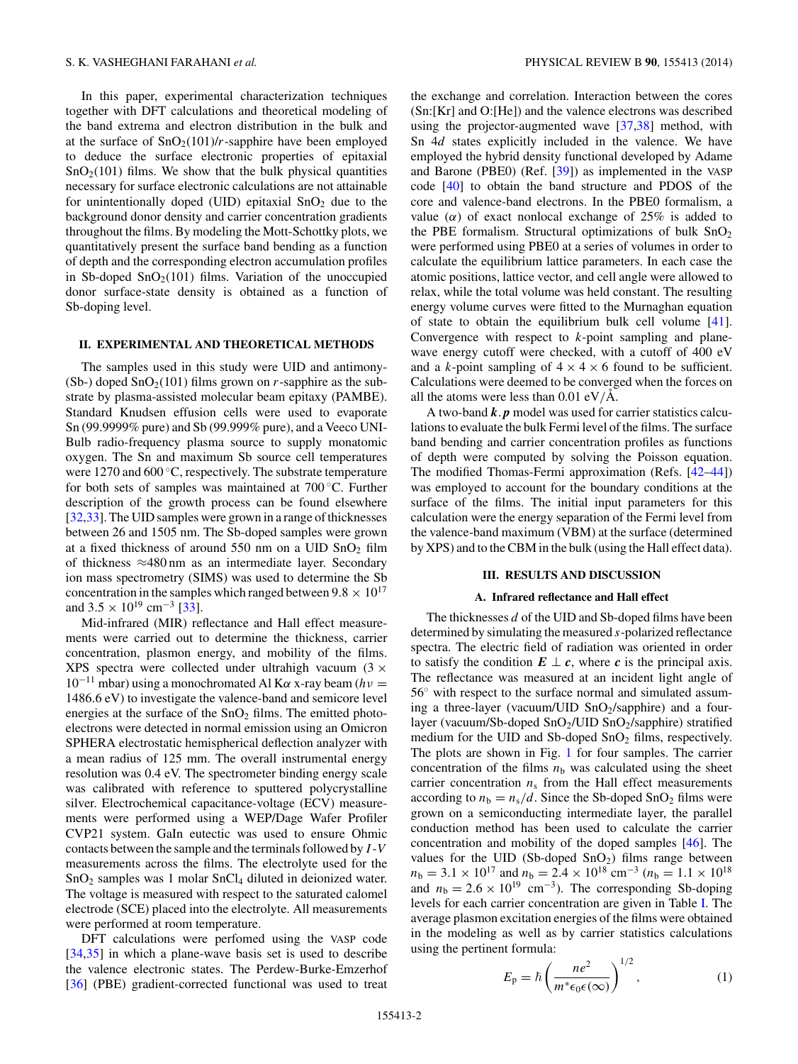In this paper, experimental characterization techniques together with DFT calculations and theoretical modeling of the band extrema and electron distribution in the bulk and at the surface of  $SnO<sub>2</sub>(101)/r$ -sapphire have been employed to deduce the surface electronic properties of epitaxial  $SnO<sub>2</sub>(101)$  films. We show that the bulk physical quantities necessary for surface electronic calculations are not attainable for unintentionally doped (UID) epitaxial  $SnO<sub>2</sub>$  due to the background donor density and carrier concentration gradients throughout the films. By modeling the Mott-Schottky plots, we quantitatively present the surface band bending as a function of depth and the corresponding electron accumulation profiles in Sb-doped  $SnO<sub>2</sub>(101)$  films. Variation of the unoccupied donor surface-state density is obtained as a function of Sb-doping level.

## **II. EXPERIMENTAL AND THEORETICAL METHODS**

The samples used in this study were UID and antimony- (Sb-) doped  $SnO<sub>2</sub>(101)$  films grown on *r*-sapphire as the substrate by plasma-assisted molecular beam epitaxy (PAMBE). Standard Knudsen effusion cells were used to evaporate Sn (99.9999% pure) and Sb (99.999% pure), and a Veeco UNI-Bulb radio-frequency plasma source to supply monatomic oxygen. The Sn and maximum Sb source cell temperatures were 1270 and 600 ◦C, respectively. The substrate temperature for both sets of samples was maintained at 700 ◦C. Further description of the growth process can be found elsewhere [\[32,33\]](#page-7-0). The UID samples were grown in a range of thicknesses between 26 and 1505 nm. The Sb-doped samples were grown at a fixed thickness of around 550 nm on a UID  $SnO<sub>2</sub>$  film of thickness ≈480 nm as an intermediate layer. Secondary ion mass spectrometry (SIMS) was used to determine the Sb concentration in the samples which ranged between  $9.8 \times 10^{17}$ and  $3.5 \times 10^{19}$  cm<sup>-3</sup> [\[33\]](#page-7-0).

Mid-infrared (MIR) reflectance and Hall effect measurements were carried out to determine the thickness, carrier concentration, plasmon energy, and mobility of the films. XPS spectra were collected under ultrahigh vacuum  $(3 \times$ <sup>10</sup>−<sup>11</sup> mbar) using a monochromated Al K*<sup>α</sup>* x-ray beam (*hν* <sup>=</sup> 1486*.*6 eV) to investigate the valence-band and semicore level energies at the surface of the  $SnO<sub>2</sub>$  films. The emitted photoelectrons were detected in normal emission using an Omicron SPHERA electrostatic hemispherical deflection analyzer with a mean radius of 125 mm. The overall instrumental energy resolution was 0.4 eV. The spectrometer binding energy scale was calibrated with reference to sputtered polycrystalline silver. Electrochemical capacitance-voltage (ECV) measurements were performed using a WEP/Dage Wafer Profiler CVP21 system. GaIn eutectic was used to ensure Ohmic contacts between the sample and the terminals followed by *I* -*V* measurements across the films. The electrolyte used for the SnO<sub>2</sub> samples was 1 molar SnCl<sub>4</sub> diluted in deionized water. The voltage is measured with respect to the saturated calomel electrode (SCE) placed into the electrolyte. All measurements were performed at room temperature.

DFT calculations were perfomed using the VASP code [\[34,35\]](#page-7-0) in which a plane-wave basis set is used to describe the valence electronic states. The Perdew-Burke-Emzerhof [\[36\]](#page-7-0) (PBE) gradient-corrected functional was used to treat the exchange and correlation. Interaction between the cores (Sn:[Kr] and O:[He]) and the valence electrons was described using the projector-augmented wave [\[37,38\]](#page-7-0) method, with Sn 4*d* states explicitly included in the valence. We have employed the hybrid density functional developed by Adame and Barone (PBE0) (Ref. [\[39\]](#page-7-0)) as implemented in the VASP code [\[40\]](#page-7-0) to obtain the band structure and PDOS of the core and valence-band electrons. In the PBE0 formalism, a value ( $\alpha$ ) of exact nonlocal exchange of 25% is added to the PBE formalism. Structural optimizations of bulk  $SnO<sub>2</sub>$ were performed using PBE0 at a series of volumes in order to calculate the equilibrium lattice parameters. In each case the atomic positions, lattice vector, and cell angle were allowed to relax, while the total volume was held constant. The resulting energy volume curves were fitted to the Murnaghan equation of state to obtain the equilibrium bulk cell volume [\[41\]](#page-7-0). Convergence with respect to *k*-point sampling and planewave energy cutoff were checked, with a cutoff of 400 eV and a *k*-point sampling of  $4 \times 4 \times 6$  found to be sufficient. Calculations were deemed to be converged when the forces on all the atoms were less than  $0.01 \text{ eV/A}$ .

A two-band *k. p* model was used for carrier statistics calculations to evaluate the bulk Fermi level of the films. The surface band bending and carrier concentration profiles as functions of depth were computed by solving the Poisson equation. The modified Thomas-Fermi approximation (Refs. [\[42–44\]](#page-7-0)) was employed to account for the boundary conditions at the surface of the films. The initial input parameters for this calculation were the energy separation of the Fermi level from the valence-band maximum (VBM) at the surface (determined by XPS) and to the CBM in the bulk (using the Hall effect data).

#### **III. RESULTS AND DISCUSSION**

### **A. Infrared reflectance and Hall effect**

The thicknesses *d* of the UID and Sb-doped films have been determined by simulating the measured *s*-polarized reflectance spectra. The electric field of radiation was oriented in order to satisfy the condition  $E \perp c$ , where *c* is the principal axis. The reflectance was measured at an incident light angle of 56<sup>°</sup> with respect to the surface normal and simulated assuming a three-layer (vacuum/UID  $SnO<sub>2</sub>/sapphire)$  and a fourlayer (vacuum/Sb-doped  $SnO<sub>2</sub>/UID SnO<sub>2</sub>/sapphire$ ) stratified medium for the UID and Sb-doped  $SnO<sub>2</sub>$  films, respectively. The plots are shown in Fig. [1](#page-2-0) for four samples. The carrier concentration of the films  $n<sub>b</sub>$  was calculated using the sheet carrier concentration  $n<sub>s</sub>$  from the Hall effect measurements according to  $n_b = n_s/d$ . Since the Sb-doped SnO<sub>2</sub> films were grown on a semiconducting intermediate layer, the parallel conduction method has been used to calculate the carrier concentration and mobility of the doped samples [\[46\]](#page-7-0). The values for the UID (Sb-doped  $SnO<sub>2</sub>$ ) films range between  $n_b = 3.1 \times 10^{17}$  and  $n_b = 2.4 \times 10^{18}$  cm<sup>-3</sup> ( $n_b = 1.1 \times 10^{18}$ ) and  $n_b = 2.6 \times 10^{19}$  cm<sup>-3</sup>). The corresponding Sb-doping levels for each carrier concentration are given in Table [I.](#page-2-0) The average plasmon excitation energies of the films were obtained in the modeling as well as by carrier statistics calculations using the pertinent formula: <sup>1</sup>*/*<sup>2</sup>

$$
E_{\rm p} = \hbar \left( \frac{ne^2}{m^* \epsilon_0 \epsilon(\infty)} \right)^{1/2}, \tag{1}
$$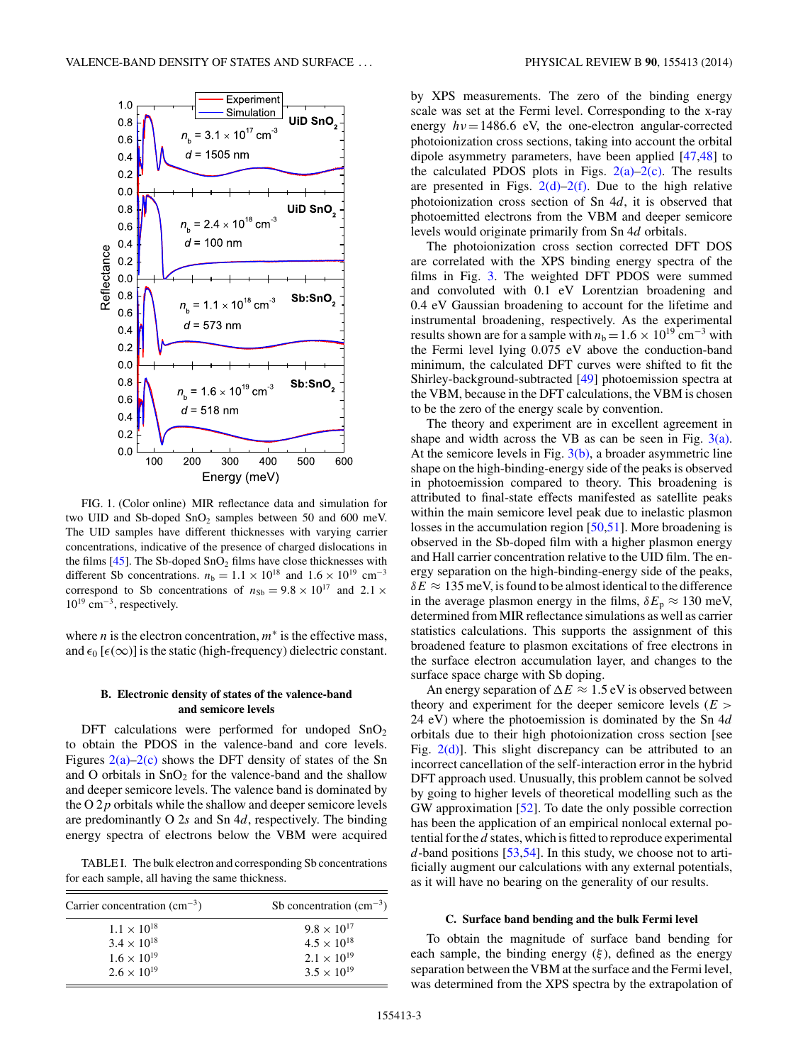<span id="page-2-0"></span>

FIG. 1. (Color online) MIR reflectance data and simulation for two UID and Sb-doped  $SnO<sub>2</sub>$  samples between 50 and 600 meV. The UID samples have different thicknesses with varying carrier concentrations, indicative of the presence of charged dislocations in the films  $[45]$ . The Sb-doped SnO<sub>2</sub> films have close thicknesses with different Sb concentrations.  $n_b = 1.1 \times 10^{18}$  and  $1.6 \times 10^{19}$  cm<sup>-3</sup> correspond to Sb concentrations of  $n_{Sb} = 9.8 \times 10^{17}$  and 2.1  $\times$  $10^{19}$  cm<sup>-3</sup>, respectively.

where *n* is the electron concentration,  $m^*$  is the effective mass, and  $\epsilon_0$  [ $\epsilon(\infty)$ ] is the static (high-frequency) dielectric constant.

#### **B. Electronic density of states of the valence-band and semicore levels**

DFT calculations were performed for undoped  $SnO<sub>2</sub>$ to obtain the PDOS in the valence-band and core levels. Figures  $2(a)-2(c)$  shows the DFT density of states of the Sn and O orbitals in  $SnO<sub>2</sub>$  for the valence-band and the shallow and deeper semicore levels. The valence band is dominated by the O 2*p* orbitals while the shallow and deeper semicore levels are predominantly O 2*s* and Sn 4*d*, respectively. The binding energy spectra of electrons below the VBM were acquired

TABLE I. The bulk electron and corresponding Sb concentrations for each sample, all having the same thickness.

| Carrier concentration $\text{(cm}^{-3})$ | Sb concentration $\text{cm}^{-3}$ ) |  |
|------------------------------------------|-------------------------------------|--|
| $1.1 \times 10^{18}$                     | $9.8 \times 10^{17}$                |  |
| $3.4 \times 10^{18}$                     | $4.5 \times 10^{18}$                |  |
| $1.6 \times 10^{19}$                     | $2.1 \times 10^{19}$                |  |
| $2.6 \times 10^{19}$                     | $3.5 \times 10^{19}$                |  |

by XPS measurements. The zero of the binding energy scale was set at the Fermi level. Corresponding to the x-ray energy  $hv = 1486.6$  eV, the one-electron angular-corrected photoionization cross sections, taking into account the orbital dipole asymmetry parameters, have been applied [\[47,48\]](#page-7-0) to the calculated PDOS plots in Figs.  $2(a)-2(c)$ . The results are presented in Figs.  $2(d)-2(f)$ . Due to the high relative photoionization cross section of Sn 4*d*, it is observed that photoemitted electrons from the VBM and deeper semicore levels would originate primarily from Sn 4*d* orbitals.

The photoionization cross section corrected DFT DOS are correlated with the XPS binding energy spectra of the films in Fig. [3.](#page-4-0) The weighted DFT PDOS were summed and convoluted with 0.1 eV Lorentzian broadening and 0.4 eV Gaussian broadening to account for the lifetime and instrumental broadening, respectively. As the experimental results shown are for a sample with  $n<sub>b</sub> = 1.6 \times 10^{19}$  cm<sup>-3</sup> with the Fermi level lying 0.075 eV above the conduction-band minimum, the calculated DFT curves were shifted to fit the Shirley-background-subtracted [\[49\]](#page-7-0) photoemission spectra at the VBM, because in the DFT calculations, the VBM is chosen to be the zero of the energy scale by convention.

The theory and experiment are in excellent agreement in shape and width across the VB as can be seen in Fig.  $3(a)$ . At the semicore levels in Fig.  $3(b)$ , a broader asymmetric line shape on the high-binding-energy side of the peaks is observed in photoemission compared to theory. This broadening is attributed to final-state effects manifested as satellite peaks within the main semicore level peak due to inelastic plasmon losses in the accumulation region [\[50,51\]](#page-8-0). More broadening is observed in the Sb-doped film with a higher plasmon energy and Hall carrier concentration relative to the UID film. The energy separation on the high-binding-energy side of the peaks,  $\delta E \approx 135$  meV, is found to be almost identical to the difference in the average plasmon energy in the films,  $\delta E_p \approx 130$  meV, determined from MIR reflectance simulations as well as carrier statistics calculations. This supports the assignment of this broadened feature to plasmon excitations of free electrons in the surface electron accumulation layer, and changes to the surface space charge with Sb doping.

An energy separation of  $\Delta E \approx 1.5$  eV is observed between theory and experiment for the deeper semicore levels (*E >* 24 eV) where the photoemission is dominated by the Sn 4*d* orbitals due to their high photoionization cross section [see Fig.  $2(d)$ ]. This slight discrepancy can be attributed to an incorrect cancellation of the self-interaction error in the hybrid DFT approach used. Unusually, this problem cannot be solved by going to higher levels of theoretical modelling such as the GW approximation [\[52\]](#page-8-0). To date the only possible correction has been the application of an empirical nonlocal external potential for the *d* states, which is fitted to reproduce experimental *d*-band positions [\[53,54\]](#page-8-0). In this study, we choose not to artificially augment our calculations with any external potentials, as it will have no bearing on the generality of our results.

#### **C. Surface band bending and the bulk Fermi level**

To obtain the magnitude of surface band bending for each sample, the binding energy  $(\xi)$ , defined as the energy separation between the VBM at the surface and the Fermi level, was determined from the XPS spectra by the extrapolation of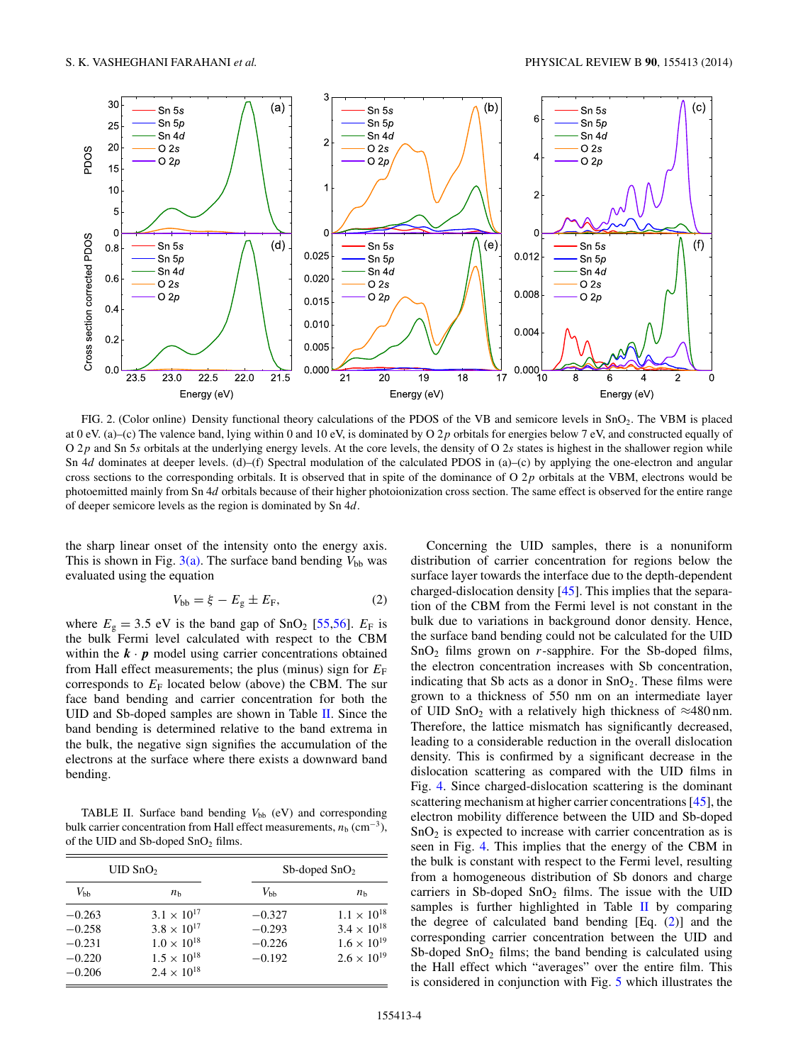<span id="page-3-0"></span>

FIG. 2. (Color online) Density functional theory calculations of the PDOS of the VB and semicore levels in SnO2. The VBM is placed at 0 eV. (a)–(c) The valence band, lying within 0 and 10 eV, is dominated by O 2*p* orbitals for energies below 7 eV, and constructed equally of O 2*p* and Sn 5*s* orbitals at the underlying energy levels. At the core levels, the density of O 2*s* states is highest in the shallower region while Sn 4*d* dominates at deeper levels. (d)–(f) Spectral modulation of the calculated PDOS in (a)–(c) by applying the one-electron and angular cross sections to the corresponding orbitals. It is observed that in spite of the dominance of O 2*p* orbitals at the VBM, electrons would be photoemitted mainly from Sn 4*d* orbitals because of their higher photoionization cross section. The same effect is observed for the entire range of deeper semicore levels as the region is dominated by Sn 4*d*.

the sharp linear onset of the intensity onto the energy axis. This is shown in Fig.  $3(a)$ . The surface band bending  $V_{bb}$  was evaluated using the equation

$$
V_{\rm bb} = \xi - E_{\rm g} \pm E_{\rm F},\tag{2}
$$

where  $E<sub>g</sub> = 3.5$  eV is the band gap of SnO<sub>2</sub> [\[55,56\]](#page-8-0).  $E<sub>F</sub>$  is the bulk Fermi level calculated with respect to the CBM within the  $\mathbf{k} \cdot \mathbf{p}$  model using carrier concentrations obtained from Hall effect measurements; the plus (minus) sign for  $E_F$ corresponds to  $E_F$  located below (above) the CBM. The sur face band bending and carrier concentration for both the UID and Sb-doped samples are shown in Table II. Since the band bending is determined relative to the band extrema in the bulk, the negative sign signifies the accumulation of the electrons at the surface where there exists a downward band bending.

TABLE II. Surface band bending  $V_{bb}$  (eV) and corresponding bulk carrier concentration from Hall effect measurements,  $n<sub>b</sub>$  (cm<sup>-3</sup>), of the UID and Sb-doped  $SnO<sub>2</sub>$  films.

| $UID$ SnO <sub>2</sub>                                   |                                                                                                                      | $Sb$ -doped $SnO2$                           |                                                                                              |
|----------------------------------------------------------|----------------------------------------------------------------------------------------------------------------------|----------------------------------------------|----------------------------------------------------------------------------------------------|
| $V_{\rm bb}$                                             | $n_{h}$                                                                                                              | $V_{\rm bh}$                                 | $n_{h}$                                                                                      |
| $-0.263$<br>$-0.258$<br>$-0.231$<br>$-0.220$<br>$-0.206$ | $3.1 \times 10^{17}$<br>$3.8 \times 10^{17}$<br>$1.0 \times 10^{18}$<br>$1.5 \times 10^{18}$<br>$2.4 \times 10^{18}$ | $-0.327$<br>$-0.293$<br>$-0.226$<br>$-0.192$ | $1.1 \times 10^{18}$<br>$3.4 \times 10^{18}$<br>$1.6 \times 10^{19}$<br>$2.6 \times 10^{19}$ |

Concerning the UID samples, there is a nonuniform distribution of carrier concentration for regions below the surface layer towards the interface due to the depth-dependent charged-dislocation density [\[45\]](#page-7-0). This implies that the separation of the CBM from the Fermi level is not constant in the bulk due to variations in background donor density. Hence, the surface band bending could not be calculated for the UID SnO2 films grown on *r*-sapphire. For the Sb-doped films, the electron concentration increases with Sb concentration, indicating that Sb acts as a donor in  $SnO<sub>2</sub>$ . These films were grown to a thickness of 550 nm on an intermediate layer of UID SnO<sub>2</sub> with a relatively high thickness of  $\approx$ 480 nm. Therefore, the lattice mismatch has significantly decreased, leading to a considerable reduction in the overall dislocation density. This is confirmed by a significant decrease in the dislocation scattering as compared with the UID films in Fig. [4.](#page-4-0) Since charged-dislocation scattering is the dominant scattering mechanism at higher carrier concentrations [\[45\]](#page-7-0), the electron mobility difference between the UID and Sb-doped  $SnO<sub>2</sub>$  is expected to increase with carrier concentration as is seen in Fig. [4.](#page-4-0) This implies that the energy of the CBM in the bulk is constant with respect to the Fermi level, resulting from a homogeneous distribution of Sb donors and charge carriers in Sb-doped  $SnO<sub>2</sub>$  films. The issue with the UID samples is further highlighted in Table  $II$  by comparing the degree of calculated band bending [Eq. (2)] and the corresponding carrier concentration between the UID and Sb-doped  $SnO<sub>2</sub>$  films; the band bending is calculated using the Hall effect which "averages" over the entire film. This is considered in conjunction with Fig. [5](#page-4-0) which illustrates the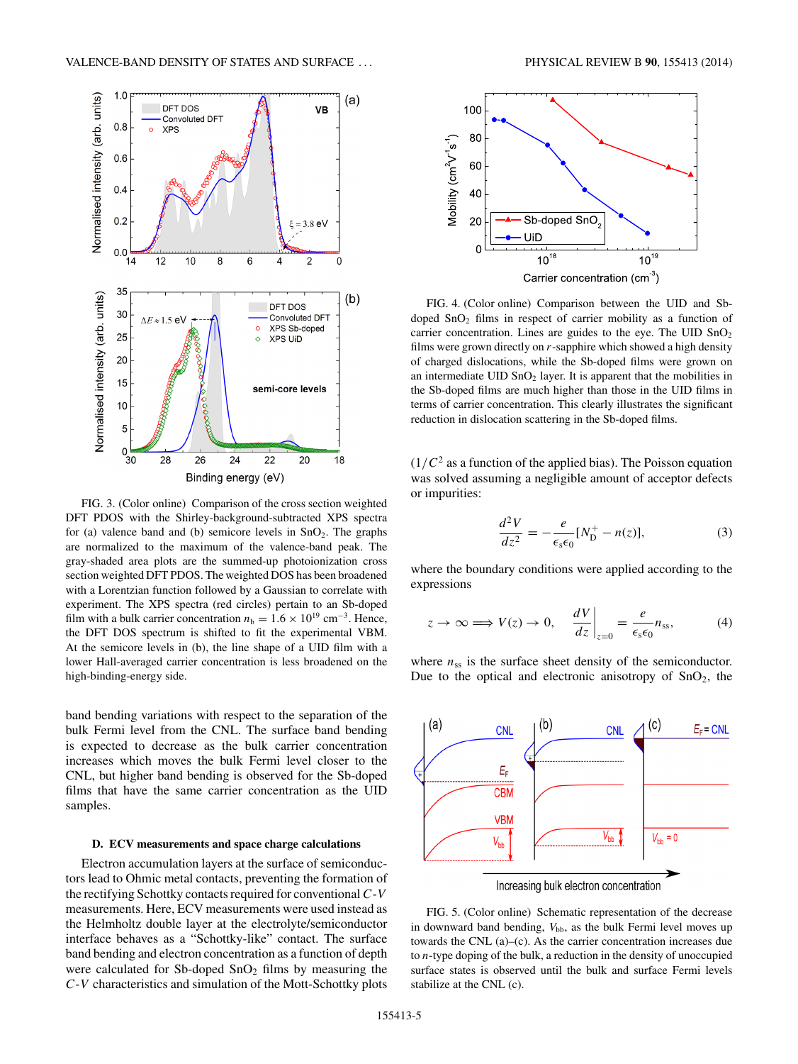<span id="page-4-0"></span>

FIG. 3. (Color online) Comparison of the cross section weighted DFT PDOS with the Shirley-background-subtracted XPS spectra for (a) valence band and (b) semicore levels in  $SnO<sub>2</sub>$ . The graphs are normalized to the maximum of the valence-band peak. The gray-shaded area plots are the summed-up photoionization cross section weighted DFT PDOS. The weighted DOS has been broadened with a Lorentzian function followed by a Gaussian to correlate with experiment. The XPS spectra (red circles) pertain to an Sb-doped film with a bulk carrier concentration  $n_b = 1.6 \times 10^{19}$  cm<sup>-3</sup>. Hence, the DFT DOS spectrum is shifted to fit the experimental VBM. At the semicore levels in (b), the line shape of a UID film with a lower Hall-averaged carrier concentration is less broadened on the high-binding-energy side.

band bending variations with respect to the separation of the bulk Fermi level from the CNL. The surface band bending is expected to decrease as the bulk carrier concentration increases which moves the bulk Fermi level closer to the CNL, but higher band bending is observed for the Sb-doped films that have the same carrier concentration as the UID samples.

#### **D. ECV measurements and space charge calculations**

Electron accumulation layers at the surface of semiconductors lead to Ohmic metal contacts, preventing the formation of the rectifying Schottky contacts required for conventional *C*-*V* measurements. Here, ECV measurements were used instead as the Helmholtz double layer at the electrolyte/semiconductor interface behaves as a "Schottky-like" contact. The surface band bending and electron concentration as a function of depth were calculated for Sb-doped  $SnO<sub>2</sub>$  films by measuring the *C*-*V* characteristics and simulation of the Mott-Schottky plots



FIG. 4. (Color online) Comparison between the UID and Sbdoped  $SnO<sub>2</sub>$  films in respect of carrier mobility as a function of carrier concentration. Lines are guides to the eye. The UID  $SnO<sub>2</sub>$ films were grown directly on *r*-sapphire which showed a high density of charged dislocations, while the Sb-doped films were grown on an intermediate  $UID SnO<sub>2</sub> layer. It is apparent that the mobilities in$ the Sb-doped films are much higher than those in the UID films in terms of carrier concentration. This clearly illustrates the significant reduction in dislocation scattering in the Sb-doped films.

 $(1/C<sup>2</sup>$  as a function of the applied bias). The Poisson equation was solved assuming a negligible amount of acceptor defects or impurities:

$$
\frac{d^2V}{dz^2} = -\frac{e}{\epsilon_s \epsilon_0} [N_{\rm D}^+ - n(z)],\tag{3}
$$

where the boundary conditions were applied according to the expressions

$$
z \to \infty \Longrightarrow V(z) \to 0, \quad \left. \frac{dV}{dz} \right|_{z=0} = \frac{e}{\epsilon_s \epsilon_0} n_{ss}, \tag{4}
$$

where  $n_{ss}$  is the surface sheet density of the semiconductor. Due to the optical and electronic anisotropy of  $SnO<sub>2</sub>$ , the



FIG. 5. (Color online) Schematic representation of the decrease in downward band bending,  $V_{\text{bb}}$ , as the bulk Fermi level moves up towards the CNL (a)–(c). As the carrier concentration increases due to *n*-type doping of the bulk, a reduction in the density of unoccupied surface states is observed until the bulk and surface Fermi levels stabilize at the CNL (c).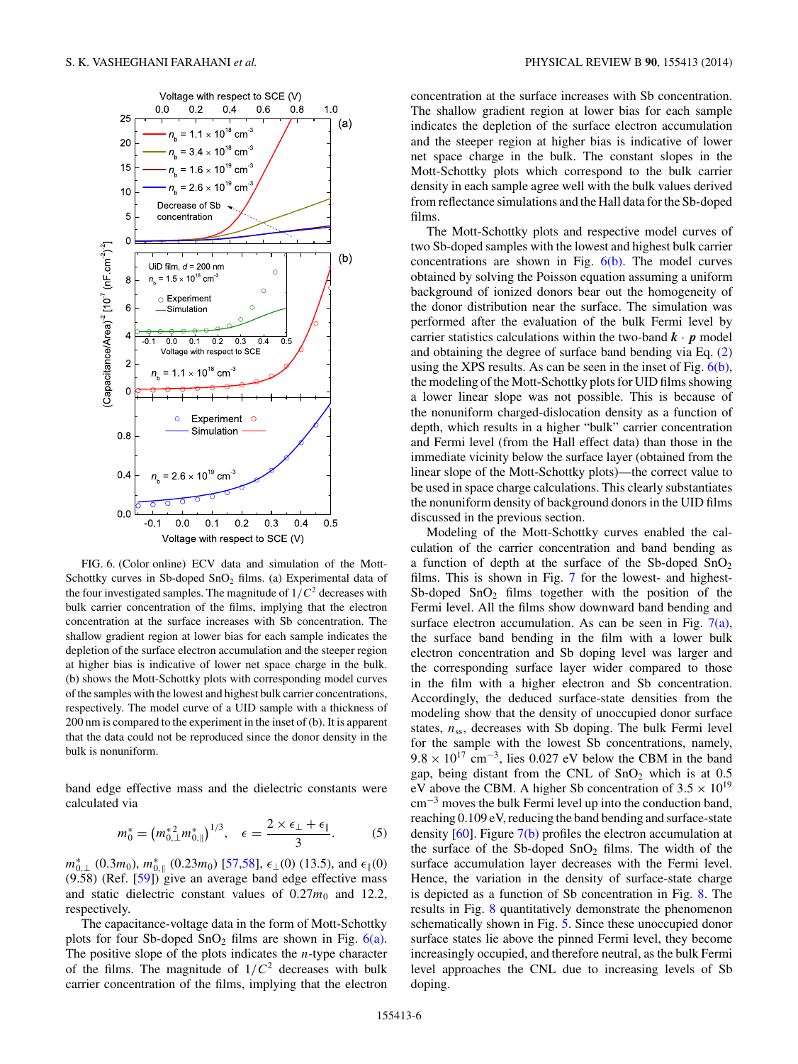

FIG. 6. (Color online) ECV data and simulation of the Mott-Schottky curves in Sb-doped SnO<sub>2</sub> films. (a) Experimental data of the four investigated samples. The magnitude of  $1/C^2$  decreases with bulk carrier concentration of the films, implying that the electron concentration at the surface increases with Sb concentration. The shallow gradient region at lower bias for each sample indicates the depletion of the surface electron accumulation and the steeper region at higher bias is indicative of lower net space charge in the bulk. (b) shows the Mott-Schottky plots with corresponding model curves of the samples with the lowest and highest bulk carrier concentrations, respectively. The model curve of a UID sample with a thickness of 200 nm is compared to the experiment in the inset of (b). It is apparent that the data could not be reproduced since the donor density in the bulk is nonuniform.

band edge effective mass and the dielectric constants were calculated via

$$
m_0^* = \left(m_{0,\perp}^{*2} m_{0,\parallel}^*\right)^{1/3}, \quad \epsilon = \frac{2 \times \epsilon_\perp + \epsilon_\parallel}{3}.\tag{5}
$$

 $m_{0,\perp}^{*}(0.3m_0)$ ,  $m_{0,\parallel}^{*}(0.23m_0)$  [\[57,58\]](#page-8-0),  $\epsilon_{\perp}(0)$  (13.5), and  $\epsilon_{\parallel}(0)$  $(9.58)$  (Ref.  $[59]$ ) give an average band edge effective mass and static dielectric constant values of  $0.27m_0$  and 12.2, respectively.

The capacitance-voltage data in the form of Mott-Schottky plots for four Sb-doped  $SnO<sub>2</sub>$  films are shown in Fig. 6(a). The positive slope of the plots indicates the *n*-type character of the films. The magnitude of  $1/C^2$  decreases with bulk carrier concentration of the films, implying that the electron concentration at the surface increases with Sb concentration. The shallow gradient region at lower bias for each sample indicates the depletion of the surface electron accumulation and the steeper region at higher bias is indicative of lower net space charge in the bulk. The constant slopes in the Mott-Schottky plots which correspond to the bulk carrier density in each sample agree well with the bulk values derived from reflectance simulations and the Hall data for the Sb-doped films.

The Mott-Schottky plots and respective model curves of two Sb-doped samples with the lowest and highest bulk carrier concentrations are shown in Fig.  $6(b)$ . The model curves obtained by solving the Poisson equation assuming a uniform background of ionized donors bear out the homogeneity of the donor distribution near the surface. The simulation was performed after the evaluation of the bulk Fermi level by carrier statistics calculations within the two-band  $\mathbf{k} \cdot \mathbf{p}$  model and obtaining the degree of surface band bending via Eq. [\(2\)](#page-3-0) using the XPS results. As can be seen in the inset of Fig.  $6(b)$ , the modeling of the Mott-Schottky plots for UID films showing a lower linear slope was not possible. This is because of the nonuniform charged-dislocation density as a function of depth, which results in a higher "bulk" carrier concentration and Fermi level (from the Hall effect data) than those in the immediate vicinity below the surface layer (obtained from the linear slope of the Mott-Schottky plots)—the correct value to be used in space charge calculations. This clearly substantiates the nonuniform density of background donors in the UID films discussed in the previous section.

Modeling of the Mott-Schottky curves enabled the calculation of the carrier concentration and band bending as a function of depth at the surface of the Sb-doped  $SnO<sub>2</sub>$ films. This is shown in Fig. [7](#page-6-0) for the lowest- and highest-Sb-doped  $SnO<sub>2</sub>$  films together with the position of the Fermi level. All the films show downward band bending and surface electron accumulation. As can be seen in Fig.  $7(a)$ , the surface band bending in the film with a lower bulk electron concentration and Sb doping level was larger and the corresponding surface layer wider compared to those in the film with a higher electron and Sb concentration. Accordingly, the deduced surface-state densities from the modeling show that the density of unoccupied donor surface states,  $n_{ss}$ , decreases with Sb doping. The bulk Fermi level for the sample with the lowest Sb concentrations, namely,  $9.8 \times 10^{17}$  cm<sup>-3</sup>, lies 0.027 eV below the CBM in the band gap, being distant from the CNL of  $SnO<sub>2</sub>$  which is at 0.5 eV above the CBM. A higher Sb concentration of  $3.5 \times 10^{19}$ cm−<sup>3</sup> moves the bulk Fermi level up into the conduction band, reaching 0.109 eV, reducing the band bending and surface-state density  $[60]$ . Figure  $7(b)$  profiles the electron accumulation at the surface of the Sb-doped  $SnO<sub>2</sub>$  films. The width of the surface accumulation layer decreases with the Fermi level. Hence, the variation in the density of surface-state charge is depicted as a function of Sb concentration in Fig. [8.](#page-6-0) The results in Fig. [8](#page-6-0) quantitatively demonstrate the phenomenon schematically shown in Fig. [5.](#page-4-0) Since these unoccupied donor surface states lie above the pinned Fermi level, they become increasingly occupied, and therefore neutral, as the bulk Fermi level approaches the CNL due to increasing levels of Sb doping.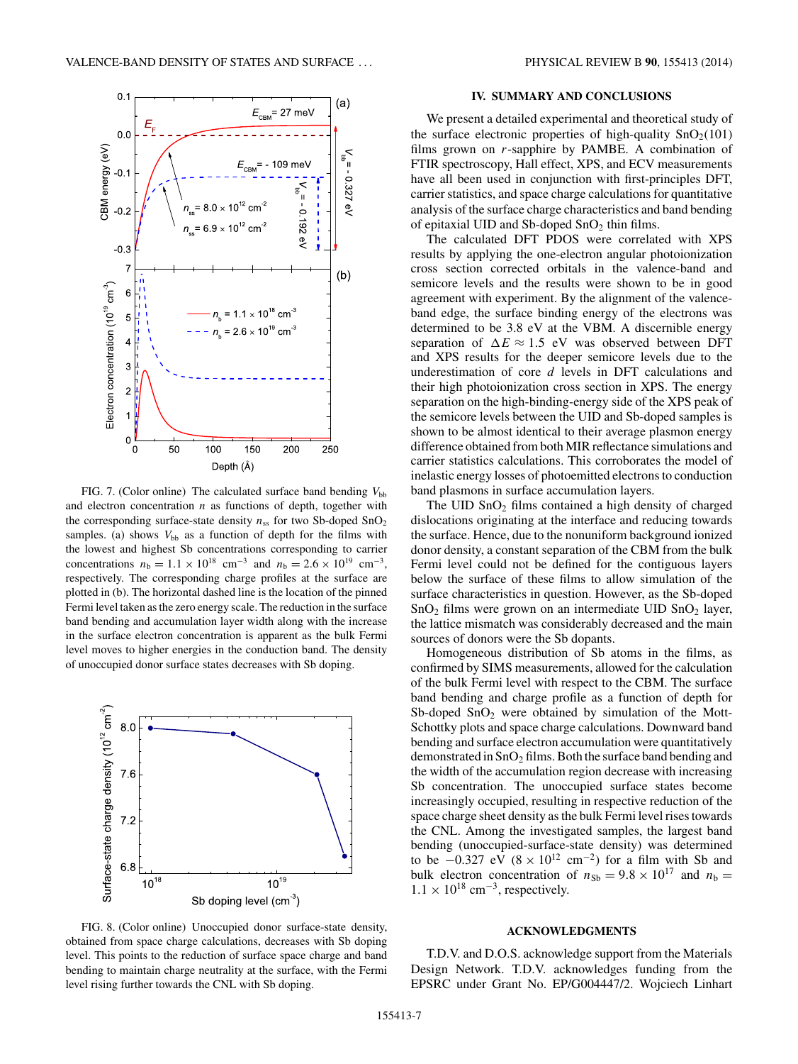<span id="page-6-0"></span>

FIG. 7. (Color online) The calculated surface band bending  $V_{bb}$ and electron concentration *n* as functions of depth, together with the corresponding surface-state density  $n_{ss}$  for two Sb-doped SnO<sub>2</sub> samples. (a) shows  $V_{bb}$  as a function of depth for the films with the lowest and highest Sb concentrations corresponding to carrier concentrations  $n_b = 1.1 \times 10^{18}$  cm<sup>-3</sup> and  $n_b = 2.6 \times 10^{19}$  cm<sup>-3</sup>, respectively. The corresponding charge profiles at the surface are plotted in (b). The horizontal dashed line is the location of the pinned Fermi level taken as the zero energy scale. The reduction in the surface band bending and accumulation layer width along with the increase in the surface electron concentration is apparent as the bulk Fermi level moves to higher energies in the conduction band. The density of unoccupied donor surface states decreases with Sb doping.



FIG. 8. (Color online) Unoccupied donor surface-state density, obtained from space charge calculations, decreases with Sb doping level. This points to the reduction of surface space charge and band bending to maintain charge neutrality at the surface, with the Fermi level rising further towards the CNL with Sb doping.

#### **IV. SUMMARY AND CONCLUSIONS**

We present a detailed experimental and theoretical study of the surface electronic properties of high-quality  $SnO<sub>2</sub>(101)$ films grown on *r*-sapphire by PAMBE. A combination of FTIR spectroscopy, Hall effect, XPS, and ECV measurements have all been used in conjunction with first-principles DFT, carrier statistics, and space charge calculations for quantitative analysis of the surface charge characteristics and band bending of epitaxial UID and Sb-doped  $SnO<sub>2</sub>$  thin films.

The calculated DFT PDOS were correlated with XPS results by applying the one-electron angular photoionization cross section corrected orbitals in the valence-band and semicore levels and the results were shown to be in good agreement with experiment. By the alignment of the valenceband edge, the surface binding energy of the electrons was determined to be 3.8 eV at the VBM. A discernible energy separation of  $\Delta E \approx 1.5$  eV was observed between DFT and XPS results for the deeper semicore levels due to the underestimation of core *d* levels in DFT calculations and their high photoionization cross section in XPS. The energy separation on the high-binding-energy side of the XPS peak of the semicore levels between the UID and Sb-doped samples is shown to be almost identical to their average plasmon energy difference obtained from both MIR reflectance simulations and carrier statistics calculations. This corroborates the model of inelastic energy losses of photoemitted electrons to conduction band plasmons in surface accumulation layers.

The  $UID SnO<sub>2</sub>$  films contained a high density of charged dislocations originating at the interface and reducing towards the surface. Hence, due to the nonuniform background ionized donor density, a constant separation of the CBM from the bulk Fermi level could not be defined for the contiguous layers below the surface of these films to allow simulation of the surface characteristics in question. However, as the Sb-doped  $SnO<sub>2</sub>$  films were grown on an intermediate UID  $SnO<sub>2</sub>$  layer, the lattice mismatch was considerably decreased and the main sources of donors were the Sb dopants.

Homogeneous distribution of Sb atoms in the films, as confirmed by SIMS measurements, allowed for the calculation of the bulk Fermi level with respect to the CBM. The surface band bending and charge profile as a function of depth for Sb-doped  $SnO<sub>2</sub>$  were obtained by simulation of the Mott-Schottky plots and space charge calculations. Downward band bending and surface electron accumulation were quantitatively demonstrated in  $SnO<sub>2</sub>$  films. Both the surface band bending and the width of the accumulation region decrease with increasing Sb concentration. The unoccupied surface states become increasingly occupied, resulting in respective reduction of the space charge sheet density as the bulk Fermi level rises towards the CNL. Among the investigated samples, the largest band bending (unoccupied-surface-state density) was determined to be  $-0.327$  eV  $(8 \times 10^{12} \text{ cm}^{-2})$  for a film with Sb and bulk electron concentration of  $n_{Sb} = 9.8 \times 10^{17}$  and  $n_b =$  $1.1 \times 10^{18}$  cm<sup>-3</sup>, respectively.

#### **ACKNOWLEDGMENTS**

T.D.V. and D.O.S. acknowledge support from the Materials Design Network. T.D.V. acknowledges funding from the EPSRC under Grant No. EP/G004447/2. Wojciech Linhart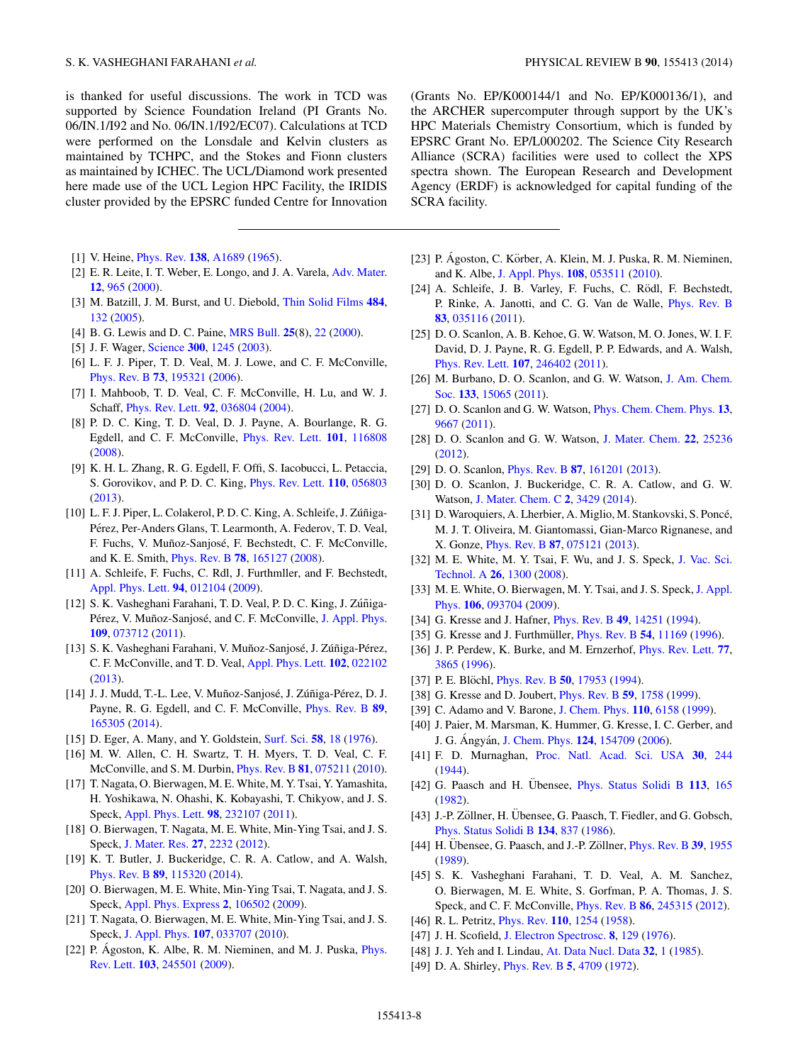<span id="page-7-0"></span>is thanked for useful discussions. The work in TCD was supported by Science Foundation Ireland (PI Grants No. 06/IN.1/I92 and No. 06/IN.1/I92/EC07). Calculations at TCD were performed on the Lonsdale and Kelvin clusters as maintained by TCHPC, and the Stokes and Fionn clusters as maintained by ICHEC. The UCL/Diamond work presented here made use of the UCL Legion HPC Facility, the IRIDIS cluster provided by the EPSRC funded Centre for Innovation

- [1] V. Heine, [Phys. Rev.](http://dx.doi.org/10.1103/PhysRev.138.A1689) **[138](http://dx.doi.org/10.1103/PhysRev.138.A1689)**, [A1689](http://dx.doi.org/10.1103/PhysRev.138.A1689) [\(1965\)](http://dx.doi.org/10.1103/PhysRev.138.A1689).
- [2] E. R. Leite, I. T. Weber, E. Longo, and J. A. Varela, [Adv. Mater.](http://dx.doi.org/10.1002/1521-4095(200006)12:13<965::AID-ADMA965>3.0.CO;2-7) **[12](http://dx.doi.org/10.1002/1521-4095(200006)12:13<965::AID-ADMA965>3.0.CO;2-7)**, [965](http://dx.doi.org/10.1002/1521-4095(200006)12:13<965::AID-ADMA965>3.0.CO;2-7) [\(2000\)](http://dx.doi.org/10.1002/1521-4095(200006)12:13<965::AID-ADMA965>3.0.CO;2-7).
- [3] M. Batzill, J. M. Burst, and U. Diebold, [Thin Solid Films](http://dx.doi.org/10.1016/j.tsf.2005.02.016) **[484](http://dx.doi.org/10.1016/j.tsf.2005.02.016)**, [132](http://dx.doi.org/10.1016/j.tsf.2005.02.016) [\(2005\)](http://dx.doi.org/10.1016/j.tsf.2005.02.016).
- [4] B. G. Lewis and D. C. Paine, [MRS Bull.](http://dx.doi.org/10.1557/mrs2000.147) **[25](http://dx.doi.org/10.1557/mrs2000.147)**(8), [22](http://dx.doi.org/10.1557/mrs2000.147) [\(2000\)](http://dx.doi.org/10.1557/mrs2000.147).
- [5] J. F. Wager, [Science](http://dx.doi.org/10.1126/science.1085276) **[300](http://dx.doi.org/10.1126/science.1085276)**, [1245](http://dx.doi.org/10.1126/science.1085276) [\(2003\)](http://dx.doi.org/10.1126/science.1085276).
- [6] L. F. J. Piper, T. D. Veal, M. J. Lowe, and C. F. McConville, [Phys. Rev. B](http://dx.doi.org/10.1103/PhysRevB.73.195321) **[73](http://dx.doi.org/10.1103/PhysRevB.73.195321)**, [195321](http://dx.doi.org/10.1103/PhysRevB.73.195321) [\(2006\)](http://dx.doi.org/10.1103/PhysRevB.73.195321).
- [7] I. Mahboob, T. D. Veal, C. F. McConville, H. Lu, and W. J. Schaff, [Phys. Rev. Lett.](http://dx.doi.org/10.1103/PhysRevLett.92.036804) **[92](http://dx.doi.org/10.1103/PhysRevLett.92.036804)**, [036804](http://dx.doi.org/10.1103/PhysRevLett.92.036804) [\(2004\)](http://dx.doi.org/10.1103/PhysRevLett.92.036804).
- [8] P. D. C. King, T. D. Veal, D. J. Payne, A. Bourlange, R. G. Egdell, and C. F. McConville, [Phys. Rev. Lett.](http://dx.doi.org/10.1103/PhysRevLett.101.116808) **[101](http://dx.doi.org/10.1103/PhysRevLett.101.116808)**, [116808](http://dx.doi.org/10.1103/PhysRevLett.101.116808) [\(2008\)](http://dx.doi.org/10.1103/PhysRevLett.101.116808).
- [9] K. H. L. Zhang, R. G. Egdell, F. Offi, S. Iacobucci, L. Petaccia, S. Gorovikov, and P. D. C. King, [Phys. Rev. Lett.](http://dx.doi.org/10.1103/PhysRevLett.110.056803) **[110](http://dx.doi.org/10.1103/PhysRevLett.110.056803)**, [056803](http://dx.doi.org/10.1103/PhysRevLett.110.056803) [\(2013\)](http://dx.doi.org/10.1103/PhysRevLett.110.056803).
- [10] L. F. J. Piper, L. Colakerol, P. D. C. King, A. Schleife, J. Zúñiga-Pérez, Per-Anders Glans, T. Learmonth, A. Federov, T. D. Veal, F. Fuchs, V. Muñoz-Sanjosé, F. Bechstedt, C. F. McConville, and K. E. Smith, [Phys. Rev. B](http://dx.doi.org/10.1103/PhysRevB.78.165127) **[78](http://dx.doi.org/10.1103/PhysRevB.78.165127)**, [165127](http://dx.doi.org/10.1103/PhysRevB.78.165127) [\(2008\)](http://dx.doi.org/10.1103/PhysRevB.78.165127).
- [11] A. Schleife, F. Fuchs, C. Rdl, J. Furthmller, and F. Bechstedt, [Appl. Phys. Lett.](http://dx.doi.org/10.1063/1.3059569) **[94](http://dx.doi.org/10.1063/1.3059569)**, [012104](http://dx.doi.org/10.1063/1.3059569) [\(2009\)](http://dx.doi.org/10.1063/1.3059569).
- [12] S. K. Vasheghani Farahani, T. D. Veal, P. D. C. King, J. Zúñiga-Pérez, V. Muñoz-Sanjosé, and C. F. McConville, [J. Appl. Phys.](http://dx.doi.org/10.1063/1.3562141) **[109](http://dx.doi.org/10.1063/1.3562141)**, [073712](http://dx.doi.org/10.1063/1.3562141) [\(2011\)](http://dx.doi.org/10.1063/1.3562141).
- [13] S. K. Vasheghani Farahani, V. Muñoz-Sanjosé, J. Zúñiga-Pérez, C. F. McConville, and T. D. Veal, [Appl. Phys. Lett.](http://dx.doi.org/10.1063/1.4775691) **[102](http://dx.doi.org/10.1063/1.4775691)**, [022102](http://dx.doi.org/10.1063/1.4775691) [\(2013\)](http://dx.doi.org/10.1063/1.4775691).
- [14] J. J. Mudd, T.-L. Lee, V. Muñoz-Sanjosé, J. Zúñiga-Pérez, D. J. Payne, R. G. Egdell, and C. F. McConville, [Phys. Rev. B](http://dx.doi.org/10.1103/PhysRevB.89.165305) **[89](http://dx.doi.org/10.1103/PhysRevB.89.165305)**, [165305](http://dx.doi.org/10.1103/PhysRevB.89.165305) [\(2014\)](http://dx.doi.org/10.1103/PhysRevB.89.165305).
- [15] D. Eger, A. Many, and Y. Goldstein, [Surf. Sci.](http://dx.doi.org/10.1016/0039-6028(76)90107-2) **[58](http://dx.doi.org/10.1016/0039-6028(76)90107-2)**, [18](http://dx.doi.org/10.1016/0039-6028(76)90107-2) [\(1976\)](http://dx.doi.org/10.1016/0039-6028(76)90107-2).
- [16] M. W. Allen, C. H. Swartz, T. H. Myers, T. D. Veal, C. F. McConville, and S. M. Durbin, [Phys. Rev. B](http://dx.doi.org/10.1103/PhysRevB.81.075211) **[81](http://dx.doi.org/10.1103/PhysRevB.81.075211)**, [075211](http://dx.doi.org/10.1103/PhysRevB.81.075211) [\(2010\)](http://dx.doi.org/10.1103/PhysRevB.81.075211).
- [17] T. Nagata, O. Bierwagen, M. E. White, M. Y. Tsai, Y. Yamashita, H. Yoshikawa, N. Ohashi, K. Kobayashi, T. Chikyow, and J. S. Speck, [Appl. Phys. Lett.](http://dx.doi.org/10.1063/1.3596449) **[98](http://dx.doi.org/10.1063/1.3596449)**, [232107](http://dx.doi.org/10.1063/1.3596449) [\(2011\)](http://dx.doi.org/10.1063/1.3596449).
- [18] O. Bierwagen, T. Nagata, M. E. White, Min-Ying Tsai, and J. S. Speck, [J. Mater. Res.](http://dx.doi.org/10.1557/jmr.2012.172) **[27](http://dx.doi.org/10.1557/jmr.2012.172)**, [2232](http://dx.doi.org/10.1557/jmr.2012.172) [\(2012\)](http://dx.doi.org/10.1557/jmr.2012.172).
- [19] K. T. Butler, J. Buckeridge, C. R. A. Catlow, and A. Walsh, [Phys. Rev. B](http://dx.doi.org/10.1103/PhysRevB.89.115320) **[89](http://dx.doi.org/10.1103/PhysRevB.89.115320)**, [115320](http://dx.doi.org/10.1103/PhysRevB.89.115320) [\(2014\)](http://dx.doi.org/10.1103/PhysRevB.89.115320).
- [20] O. Bierwagen, M. E. White, Min-Ying Tsai, T. Nagata, and J. S. Speck, [Appl. Phys. Express](http://dx.doi.org/10.1143/APEX.2.106502) **[2](http://dx.doi.org/10.1143/APEX.2.106502)**, [106502](http://dx.doi.org/10.1143/APEX.2.106502) [\(2009\)](http://dx.doi.org/10.1143/APEX.2.106502).
- [21] T. Nagata, O. Bierwagen, M. E. White, Min-Ying Tsai, and J. S. Speck, [J. Appl. Phys.](http://dx.doi.org/10.1063/1.3298467) **[107](http://dx.doi.org/10.1063/1.3298467)**, [033707](http://dx.doi.org/10.1063/1.3298467) [\(2010\)](http://dx.doi.org/10.1063/1.3298467).
- [22] P. Ágoston, K. Albe, R. M. Nieminen, and M. J. Puska,  $Phys.$ Rev. Lett. **[103](http://dx.doi.org/10.1103/PhysRevLett.103.245501)**, [245501](http://dx.doi.org/10.1103/PhysRevLett.103.245501) [\(2009\)](http://dx.doi.org/10.1103/PhysRevLett.103.245501).

(Grants No. EP/K000144/1 and No. EP/K000136/1), and the ARCHER supercomputer through support by the UK's HPC Materials Chemistry Consortium, which is funded by EPSRC Grant No. EP/L000202. The Science City Research Alliance (SCRA) facilities were used to collect the XPS spectra shown. The European Research and Development Agency (ERDF) is acknowledged for capital funding of the SCRA facility.

- [23] P. Ágoston, C. Körber, A. Klein, M. J. Puska, R. M. Nieminen, and K. Albe, [J. Appl. Phys.](http://dx.doi.org/10.1063/1.3467780) **[108](http://dx.doi.org/10.1063/1.3467780)**, [053511](http://dx.doi.org/10.1063/1.3467780) [\(2010\)](http://dx.doi.org/10.1063/1.3467780).
- [24] A. Schleife, J. B. Varley, F. Fuchs, C. Rödl, F. Bechstedt, P. Rinke, A. Janotti, and C. G. Van de Walle, [Phys. Rev. B](http://dx.doi.org/10.1103/PhysRevB.83.035116) **[83](http://dx.doi.org/10.1103/PhysRevB.83.035116)**, [035116](http://dx.doi.org/10.1103/PhysRevB.83.035116) [\(2011\)](http://dx.doi.org/10.1103/PhysRevB.83.035116).
- [25] D. O. Scanlon, A. B. Kehoe, G. W. Watson, M. O. Jones, W. I. F. David, D. J. Payne, R. G. Egdell, P. P. Edwards, and A. Walsh, [Phys. Rev. Lett.](http://dx.doi.org/10.1103/PhysRevLett.107.246402) **[107](http://dx.doi.org/10.1103/PhysRevLett.107.246402)**, [246402](http://dx.doi.org/10.1103/PhysRevLett.107.246402) [\(2011\)](http://dx.doi.org/10.1103/PhysRevLett.107.246402).
- [26] [M. Burbano, D. O. Scanlon, and G. W. Watson,](http://dx.doi.org/10.1021/ja204639y) J. Am. Chem. Soc. **[133](http://dx.doi.org/10.1021/ja204639y)**, [15065](http://dx.doi.org/10.1021/ja204639y) [\(2011\)](http://dx.doi.org/10.1021/ja204639y).
- [27] D. O. Scanlon and G. W. Watson, [Phys. Chem. Chem. Phys.](http://dx.doi.org/10.1039/c0cp02562c) **[13](http://dx.doi.org/10.1039/c0cp02562c)**, [9667](http://dx.doi.org/10.1039/c0cp02562c) [\(2011\)](http://dx.doi.org/10.1039/c0cp02562c).
- [28] D. O. Scanlon and G. W. Watson, [J. Mater. Chem.](http://dx.doi.org/10.1039/c2jm34352e) **[22](http://dx.doi.org/10.1039/c2jm34352e)**, [25236](http://dx.doi.org/10.1039/c2jm34352e) [\(2012\)](http://dx.doi.org/10.1039/c2jm34352e).
- [29] D. O. Scanlon, [Phys. Rev. B](http://dx.doi.org/10.1103/PhysRevB.87.161201) **[87](http://dx.doi.org/10.1103/PhysRevB.87.161201)**, [161201](http://dx.doi.org/10.1103/PhysRevB.87.161201) [\(2013\)](http://dx.doi.org/10.1103/PhysRevB.87.161201).
- [30] D. O. Scanlon, J. Buckeridge, C. R. A. Catlow, and G. W. Watson, [J. Mater. Chem. C](http://dx.doi.org/10.1039/c4tc00096j) **[2](http://dx.doi.org/10.1039/c4tc00096j)**, [3429](http://dx.doi.org/10.1039/c4tc00096j) [\(2014\)](http://dx.doi.org/10.1039/c4tc00096j).
- [31] D. Waroquiers, A. Lherbier, A. Miglio, M. Stankovski, S. Poncé, M. J. T. Oliveira, M. Giantomassi, Gian-Marco Rignanese, and X. Gonze, [Phys. Rev. B](http://dx.doi.org/10.1103/PhysRevB.87.075121) **[87](http://dx.doi.org/10.1103/PhysRevB.87.075121)**, [075121](http://dx.doi.org/10.1103/PhysRevB.87.075121) [\(2013\)](http://dx.doi.org/10.1103/PhysRevB.87.075121).
- [32] [M. E. White, M. Y. Tsai, F. Wu, and J. S. Speck,](http://dx.doi.org/10.1116/1.2966423) J. Vac. Sci. Technol. A **[26](http://dx.doi.org/10.1116/1.2966423)**, [1300](http://dx.doi.org/10.1116/1.2966423) [\(2008\)](http://dx.doi.org/10.1116/1.2966423).
- [33] [M. E. White, O. Bierwagen, M. Y. Tsai, and J. S. Speck,](http://dx.doi.org/10.1063/1.3254241) J. Appl. Phys. **[106](http://dx.doi.org/10.1063/1.3254241)**, [093704](http://dx.doi.org/10.1063/1.3254241) [\(2009\)](http://dx.doi.org/10.1063/1.3254241).
- [34] G. Kresse and J. Hafner, [Phys. Rev. B](http://dx.doi.org/10.1103/PhysRevB.49.14251) **[49](http://dx.doi.org/10.1103/PhysRevB.49.14251)**, [14251](http://dx.doi.org/10.1103/PhysRevB.49.14251) [\(1994\)](http://dx.doi.org/10.1103/PhysRevB.49.14251).
- [35] G. Kresse and J. Furthmüller, *[Phys. Rev. B](http://dx.doi.org/10.1103/PhysRevB.54.11169)* [54](http://dx.doi.org/10.1103/PhysRevB.54.11169), [11169](http://dx.doi.org/10.1103/PhysRevB.54.11169) [\(1996\)](http://dx.doi.org/10.1103/PhysRevB.54.11169).
- [36] J. P. Perdew, K. Burke, and M. Ernzerhof, [Phys. Rev. Lett.](http://dx.doi.org/10.1103/PhysRevLett.77.3865) **[77](http://dx.doi.org/10.1103/PhysRevLett.77.3865)**, [3865](http://dx.doi.org/10.1103/PhysRevLett.77.3865) [\(1996\)](http://dx.doi.org/10.1103/PhysRevLett.77.3865).
- [37] P. E. Blöchl, *[Phys. Rev. B](http://dx.doi.org/10.1103/PhysRevB.50.17953)* [50](http://dx.doi.org/10.1103/PhysRevB.50.17953), [17953](http://dx.doi.org/10.1103/PhysRevB.50.17953) [\(1994\)](http://dx.doi.org/10.1103/PhysRevB.50.17953).
- [38] G. Kresse and D. Joubert, [Phys. Rev. B](http://dx.doi.org/10.1103/PhysRevB.59.1758) **[59](http://dx.doi.org/10.1103/PhysRevB.59.1758)**, [1758](http://dx.doi.org/10.1103/PhysRevB.59.1758) [\(1999\)](http://dx.doi.org/10.1103/PhysRevB.59.1758).
- [39] C. Adamo and V. Barone, [J. Chem. Phys.](http://dx.doi.org/10.1063/1.478522) **[110](http://dx.doi.org/10.1063/1.478522)**, [6158](http://dx.doi.org/10.1063/1.478522) [\(1999\)](http://dx.doi.org/10.1063/1.478522).
- [40] J. Paier, M. Marsman, K. Hummer, G. Kresse, I. C. Gerber, and J. G. Angyán, [J. Chem. Phys.](http://dx.doi.org/10.1063/1.2187006) **[124](http://dx.doi.org/10.1063/1.2187006)**, [154709](http://dx.doi.org/10.1063/1.2187006) [\(2006\)](http://dx.doi.org/10.1063/1.2187006).
- [41] F. D. Murnaghan, [Proc. Natl. Acad. Sci. USA](http://dx.doi.org/10.1073/pnas.30.9.244) **[30](http://dx.doi.org/10.1073/pnas.30.9.244)**, [244](http://dx.doi.org/10.1073/pnas.30.9.244) [\(1944\)](http://dx.doi.org/10.1073/pnas.30.9.244).
- [42] G. Paasch and H. Übensee, *[Phys. Status Solidi B](http://dx.doi.org/10.1002/pssb.2221130116)* [113](http://dx.doi.org/10.1002/pssb.2221130116), [165](http://dx.doi.org/10.1002/pssb.2221130116) [\(1982\)](http://dx.doi.org/10.1002/pssb.2221130116).
- [43] J.-P. Zöllner, H. Übensee, G. Paasch, T. Fiedler, and G. Gobsch, [Phys. Status Solidi B](http://dx.doi.org/10.1002/pssb.2221340245) **[134](http://dx.doi.org/10.1002/pssb.2221340245)**, [837](http://dx.doi.org/10.1002/pssb.2221340245) [\(1986\)](http://dx.doi.org/10.1002/pssb.2221340245).
- [44] H. Übensee, G. Paasch, and J.-P. Zöllner, *[Phys. Rev. B](http://dx.doi.org/10.1103/PhysRevB.39.1955)* [39](http://dx.doi.org/10.1103/PhysRevB.39.1955), [1955](http://dx.doi.org/10.1103/PhysRevB.39.1955) [\(1989\)](http://dx.doi.org/10.1103/PhysRevB.39.1955).
- [45] S. K. Vasheghani Farahani, T. D. Veal, A. M. Sanchez, O. Bierwagen, M. E. White, S. Gorfman, P. A. Thomas, J. S. Speck, and C. F. McConville, [Phys. Rev. B](http://dx.doi.org/10.1103/PhysRevB.86.245315) **[86](http://dx.doi.org/10.1103/PhysRevB.86.245315)**, [245315](http://dx.doi.org/10.1103/PhysRevB.86.245315) [\(2012\)](http://dx.doi.org/10.1103/PhysRevB.86.245315).
- [46] R. L. Petritz, [Phys. Rev.](http://dx.doi.org/10.1103/PhysRev.110.1254) **[110](http://dx.doi.org/10.1103/PhysRev.110.1254)**, [1254](http://dx.doi.org/10.1103/PhysRev.110.1254) [\(1958\)](http://dx.doi.org/10.1103/PhysRev.110.1254).
- [47] J. H. Scofield, [J. Electron Spectrosc.](http://dx.doi.org/10.1016/0368-2048(76)80015-1) **[8](http://dx.doi.org/10.1016/0368-2048(76)80015-1)**, [129](http://dx.doi.org/10.1016/0368-2048(76)80015-1) [\(1976\)](http://dx.doi.org/10.1016/0368-2048(76)80015-1).
- [48] J. J. Yeh and I. Lindau, [At. Data Nucl. Data](http://dx.doi.org/10.1016/0092-640X(85)90016-6) **[32](http://dx.doi.org/10.1016/0092-640X(85)90016-6)**, [1](http://dx.doi.org/10.1016/0092-640X(85)90016-6) [\(1985\)](http://dx.doi.org/10.1016/0092-640X(85)90016-6).
- [49] D. A. Shirley, [Phys. Rev. B](http://dx.doi.org/10.1103/PhysRevB.5.4709) **[5](http://dx.doi.org/10.1103/PhysRevB.5.4709)**, [4709](http://dx.doi.org/10.1103/PhysRevB.5.4709) [\(1972\)](http://dx.doi.org/10.1103/PhysRevB.5.4709).